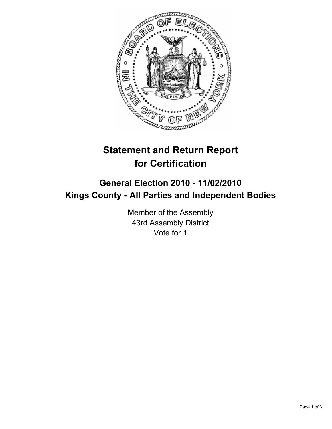

# **Statement and Return Report for Certification**

## **General Election 2010 - 11/02/2010 Kings County - All Parties and Independent Bodies**

Member of the Assembly 43rd Assembly District Vote for 1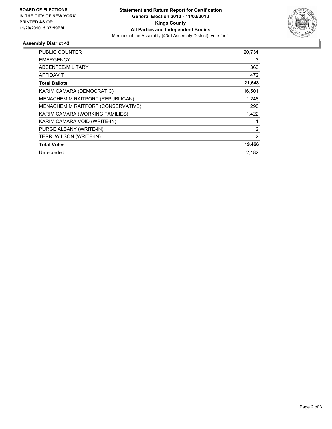

### **Assembly District 43**

| PUBLIC COUNTER                     | 20,734 |
|------------------------------------|--------|
| <b>EMERGENCY</b>                   | 3      |
| ABSENTEE/MILITARY                  | 363    |
| <b>AFFIDAVIT</b>                   | 472    |
| <b>Total Ballots</b>               | 21,648 |
| KARIM CAMARA (DEMOCRATIC)          | 16,501 |
| MENACHEM M RAITPORT (REPUBLICAN)   | 1,248  |
| MENACHEM M RAITPORT (CONSERVATIVE) | 290    |
| KARIM CAMARA (WORKING FAMILIES)    | 1,422  |
| KARIM CAMARA VOID (WRITE-IN)       |        |
| PURGE ALBANY (WRITE-IN)            | 2      |
| TERRI WILSON (WRITE-IN)            | 2      |
| <b>Total Votes</b>                 | 19,466 |
| Unrecorded                         | 2.182  |